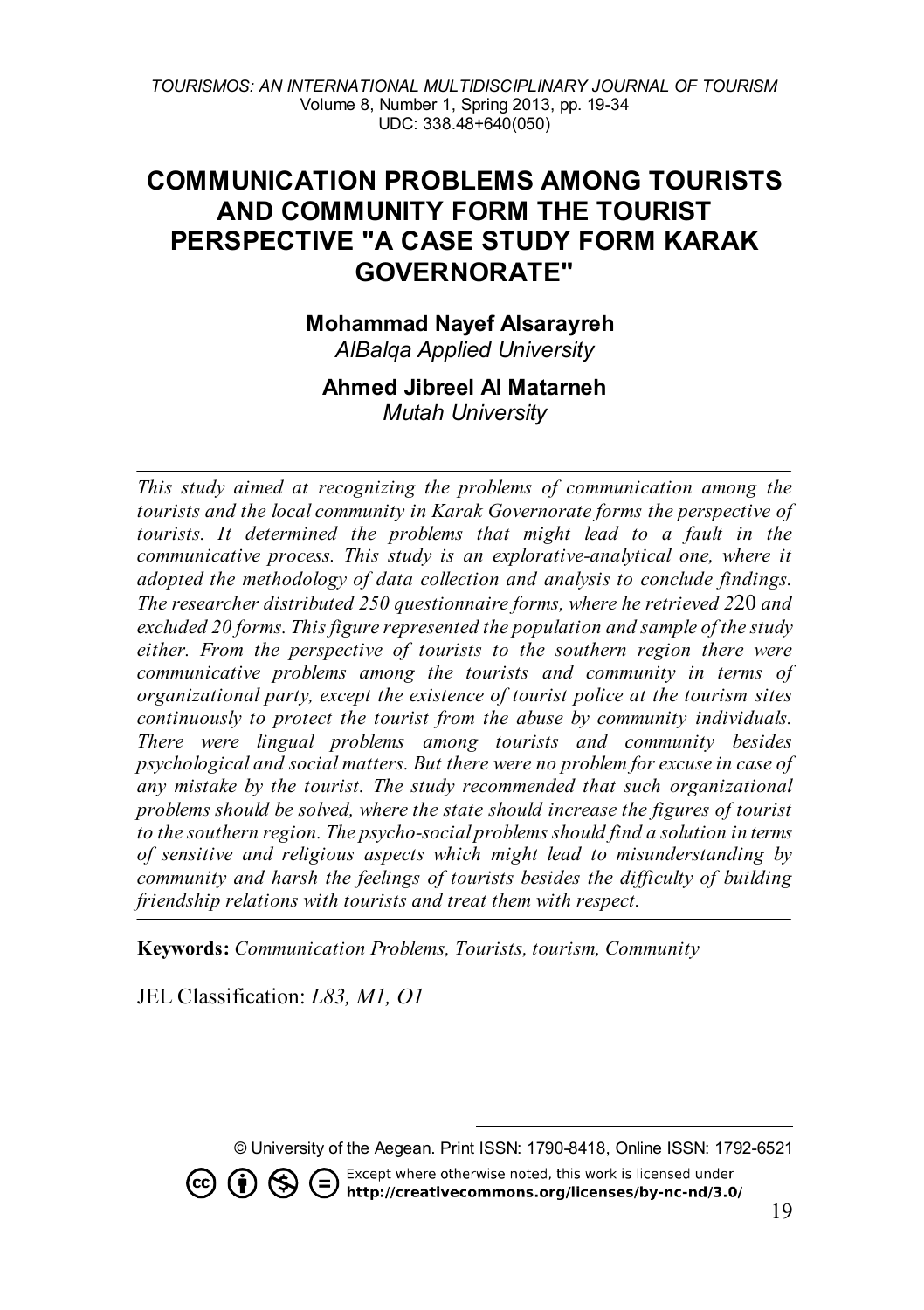# **COMMUNICATION PROBLEMS AMONG TOURISTS AND COMMUNITY FORM THE TOURIST PERSPECTIVE "A CASE STUDY FORM KARAK GOVERNORATE"**

**Mohammad Nayef Alsarayreh** 

*AlBalqa Applied University*

#### **Ahmed Jibreel Al Matarneh** *Mutah University*

*This study aimed at recognizing the problems of communication among the tourists and the local community in Karak Governorate forms the perspective of tourists. It determined the problems that might lead to a fault in the communicative process. This study is an explorative-analytical one, where it adopted the methodology of data collection and analysis to conclude findings. The researcher distributed 250 questionnaire forms, where he retrieved 2*20 *and excluded 20 forms. This figure represented the population and sample of the study either. From the perspective of tourists to the southern region there were communicative problems among the tourists and community in terms of organizational party, except the existence of tourist police at the tourism sites continuously to protect the tourist from the abuse by community individuals. There were lingual problems among tourists and community besides psychological and social matters. But there were no problem for excuse in case of any mistake by the tourist. The study recommended that such organizational problems should be solved, where the state should increase the figures of tourist to the southern region. The psycho-social problems should find a solution in terms of sensitive and religious aspects which might lead to misunderstanding by community and harsh the feelings of tourists besides the difficulty of building friendship relations with tourists and treat them with respect.* 

**Keywords:** *Communication Problems, Tourists, tourism, Community*

JEL Classification: *L83, M1, O1*

<span id="page-0-0"></span> $(cc)$ 

Except where otherwise noted, this work is licensed under  $(i)$   $\left\langle \star \right\rangle$  $($ http://creativecommons.org/licenses/by-nc-nd/3.0/

<sup>-</sup>© University of the Aegean. Print ISSN: 1790-8418, Online ISSN: 1792-6521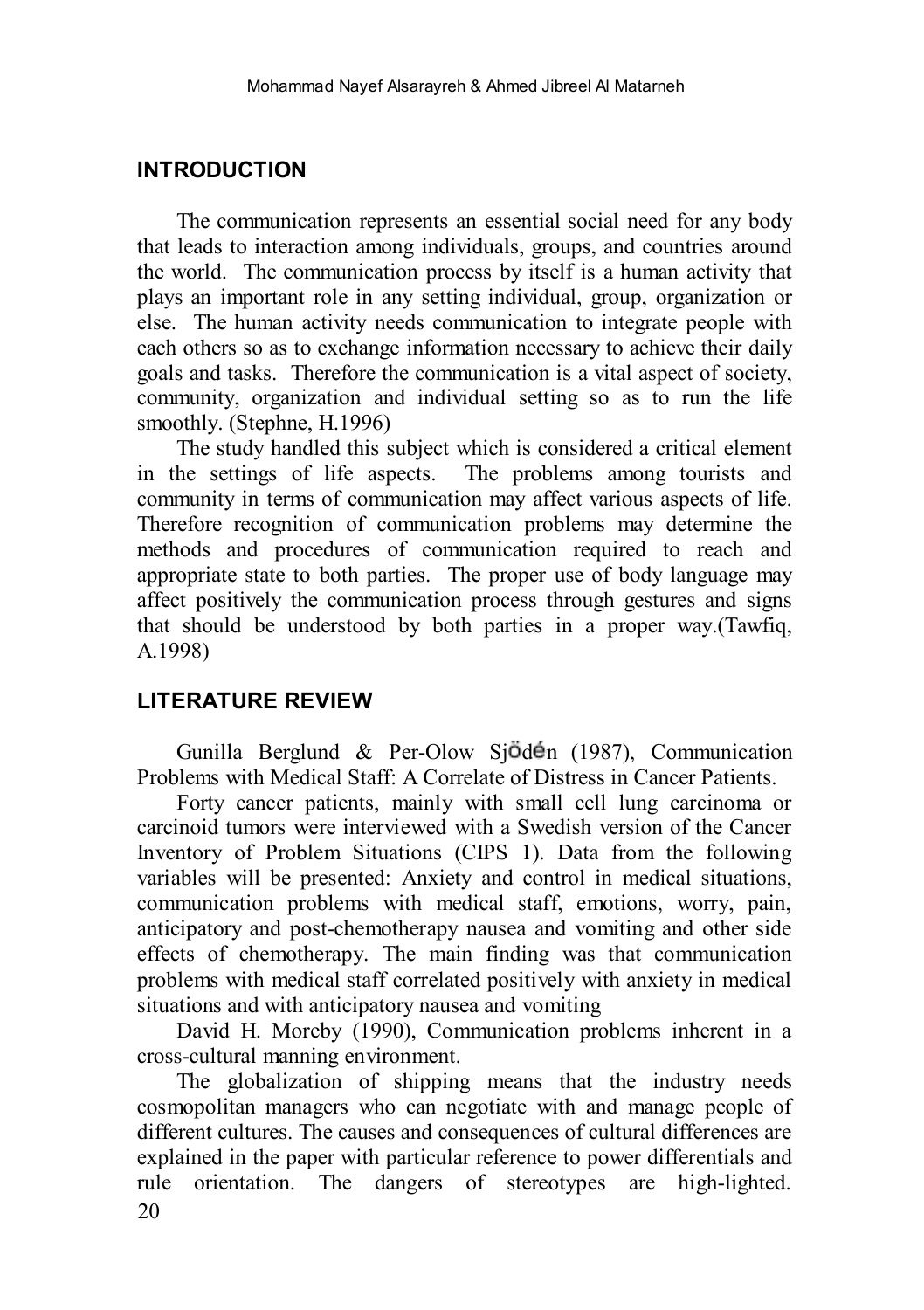## **INTRODUCTION**

The communication represents an essential social need for any body that leads to interaction among individuals, groups, and countries around the world. The communication process by itself is a human activity that plays an important role in any setting individual, group, organization or else. The human activity needs communication to integrate people with each others so as to exchange information necessary to achieve their daily goals and tasks. Therefore the communication is a vital aspect of society, community, organization and individual setting so as to run the life smoothly. (Stephne, H.1996)

The study handled this subject which is considered a critical element in the settings of life aspects. The problems among tourists and community in terms of communication may affect various aspects of life. Therefore recognition of communication problems may determine the methods and procedures of communication required to reach and appropriate state to both parties. The proper use of body language may affect positively the communication process through gestures and signs that should be understood by both parties in a proper way.(Tawfiq, A.1998)

## **LITERATURE REVIEW**

Gunilla Berglund & Per-Olow Sj $\ddot{\theta}$ d $\dot{\theta}$ n (1987), Communication Problems with Medical Staff: A Correlate of Distress in Cancer Patients.

Forty cancer patients, mainly with small cell lung carcinoma or carcinoid tumors were interviewed with a Swedish version of the Cancer Inventory of Problem Situations (CIPS 1). Data from the following variables will be presented: Anxiety and control in medical situations, communication problems with medical staff, emotions, worry, pain, anticipatory and post-chemotherapy nausea and vomiting and other side effects of chemotherapy. The main finding was that communication problems with medical staff correlated positively with anxiety in medical situations and with anticipatory nausea and vomiting

David H. Moreby (1990), Communication problems inherent in a cross-cultural manning environment.

20 The globalization of shipping means that the industry needs cosmopolitan managers who can negotiate with and manage people of different cultures. The causes and consequences of cultural differences are explained in the paper with particular reference to power differentials and rule orientation. The dangers of stereotypes are high-lighted.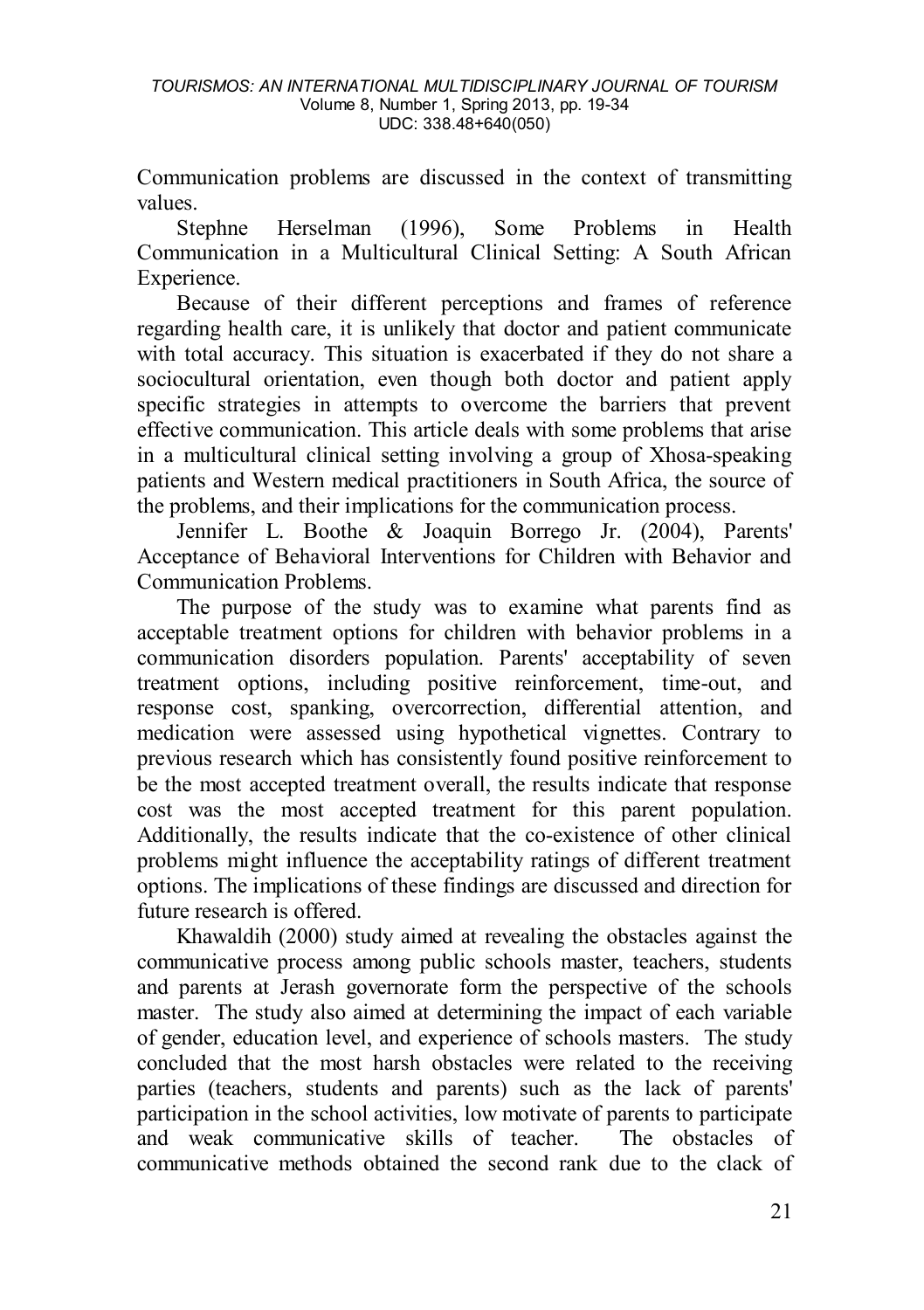Communication problems are discussed in the context of transmitting values.

Stephne Herselman (1996), Some Problems in Health Communication in a Multicultural Clinical Setting: A South African Experience.

Because of their different perceptions and frames of reference regarding health care, it is unlikely that doctor and patient communicate with total accuracy. This situation is exacerbated if they do not share a sociocultural orientation, even though both doctor and patient apply specific strategies in attempts to overcome the barriers that prevent effective communication. This article deals with some problems that arise in a multicultural clinical setting involving a group of Xhosa-speaking patients and Western medical practitioners in South Africa, the source of the problems, and their implications for the communication process.

Jennifer L. Boothe & Joaquin Borrego Jr. (2004), Parents' Acceptance of Behavioral Interventions for Children with Behavior and Communication Problems.

The purpose of the study was to examine what parents find as acceptable treatment options for children with behavior problems in a communication disorders population. Parents' acceptability of seven treatment options, including positive reinforcement, time-out, and response cost, spanking, overcorrection, differential attention, and medication were assessed using hypothetical vignettes. Contrary to previous research which has consistently found positive reinforcement to be the most accepted treatment overall, the results indicate that response cost was the most accepted treatment for this parent population. Additionally, the results indicate that the co-existence of other clinical problems might influence the acceptability ratings of different treatment options. The implications of these findings are discussed and direction for future research is offered.

Khawaldih (2000) study aimed at revealing the obstacles against the communicative process among public schools master, teachers, students and parents at Jerash governorate form the perspective of the schools master. The study also aimed at determining the impact of each variable of gender, education level, and experience of schools masters. The study concluded that the most harsh obstacles were related to the receiving parties (teachers, students and parents) such as the lack of parents' participation in the school activities, low motivate of parents to participate and weak communicative skills of teacher. The obstacles of communicative methods obtained the second rank due to the clack of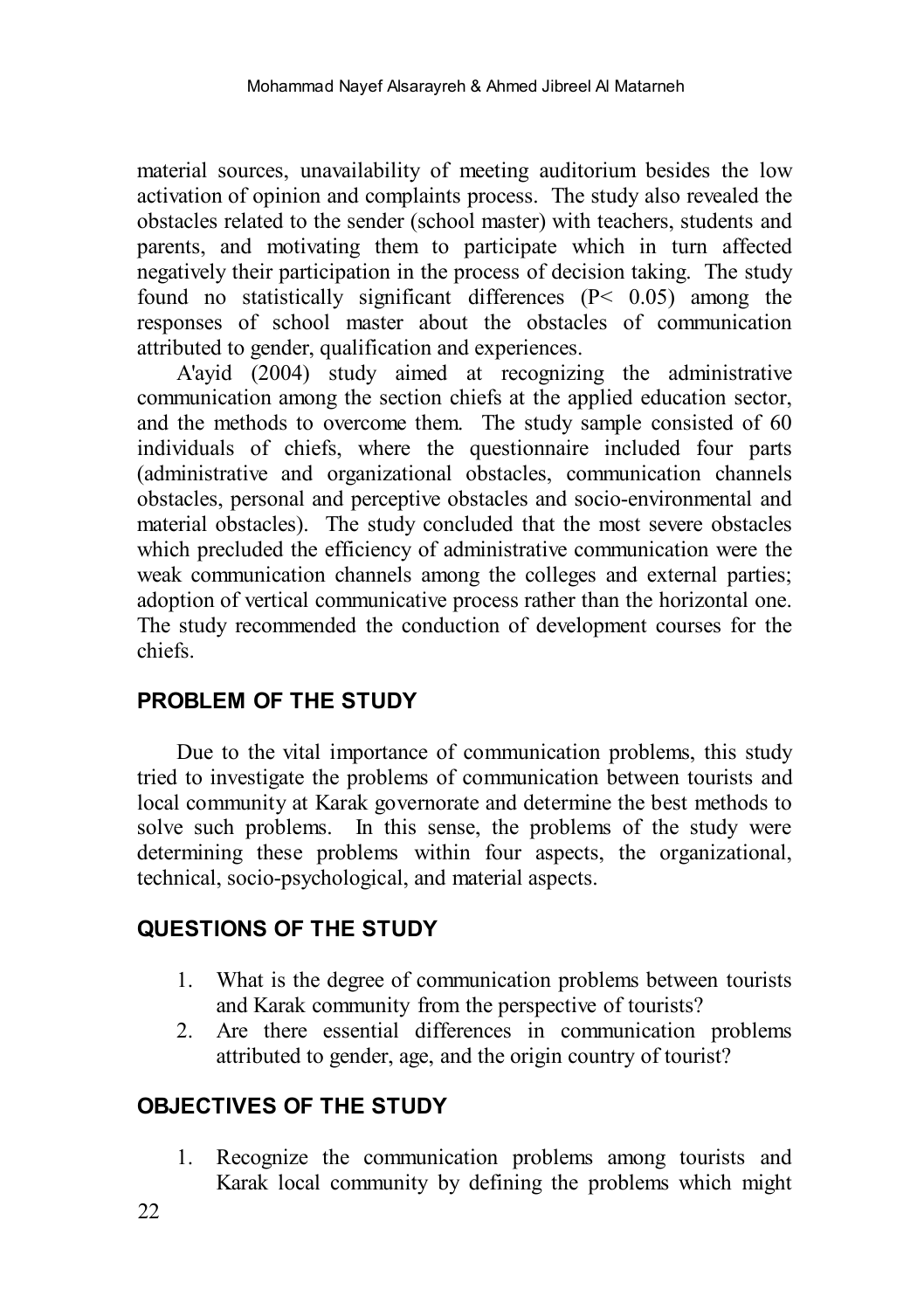material sources, unavailability of meeting auditorium besides the low activation of opinion and complaints process. The study also revealed the obstacles related to the sender (school master) with teachers, students and parents, and motivating them to participate which in turn affected negatively their participation in the process of decision taking. The study found no statistically significant differences (P< 0.05) among the responses of school master about the obstacles of communication attributed to gender, qualification and experiences.

A'ayid (2004) study aimed at recognizing the administrative communication among the section chiefs at the applied education sector, and the methods to overcome them. The study sample consisted of 60 individuals of chiefs, where the questionnaire included four parts (administrative and organizational obstacles, communication channels obstacles, personal and perceptive obstacles and socio-environmental and material obstacles). The study concluded that the most severe obstacles which precluded the efficiency of administrative communication were the weak communication channels among the colleges and external parties; adoption of vertical communicative process rather than the horizontal one. The study recommended the conduction of development courses for the chiefs.

# **PROBLEM OF THE STUDY**

Due to the vital importance of communication problems, this study tried to investigate the problems of communication between tourists and local community at Karak governorate and determine the best methods to solve such problems. In this sense, the problems of the study were determining these problems within four aspects, the organizational, technical, socio-psychological, and material aspects.

## **QUESTIONS OF THE STUDY**

- 1. What is the degree of communication problems between tourists and Karak community from the perspective of tourists?
- 2. Are there essential differences in communication problems attributed to gender, age, and the origin country of tourist?

# **OBJECTIVES OF THE STUDY**

1. Recognize the communication problems among tourists and Karak local community by defining the problems which might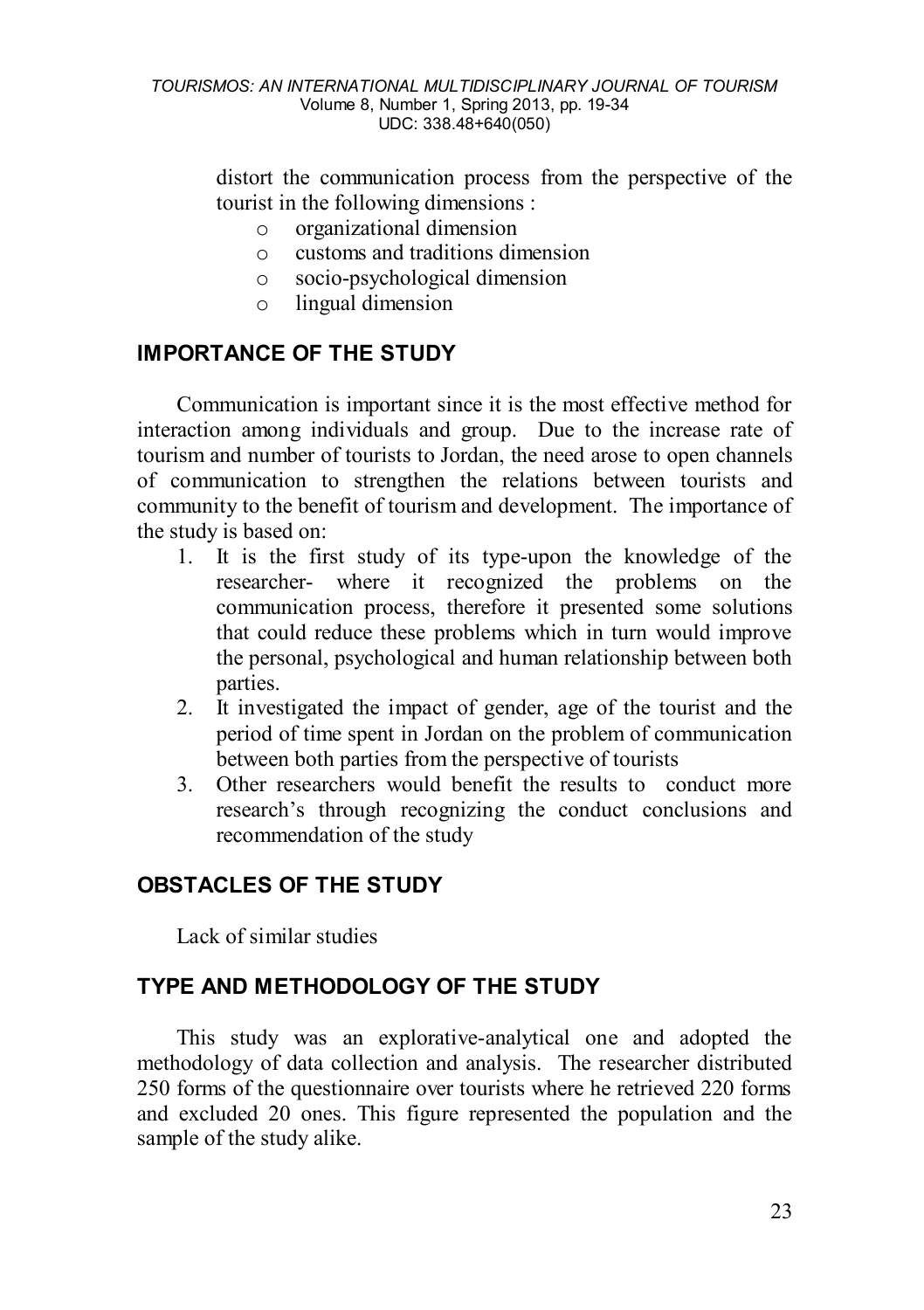distort the communication process from the perspective of the tourist in the following dimensions :

- $\circ$  organizational dimension
- $\circ$  customs and traditions dimension<br> $\circ$  socio-psychological dimension
- $\circ$  socio-psychological dimension<br> $\circ$  lingual dimension
- lingual dimension

## **IMPORTANCE OF THE STUDY**

Communication is important since it is the most effective method for interaction among individuals and group. Due to the increase rate of tourism and number of tourists to Jordan, the need arose to open channels of communication to strengthen the relations between tourists and community to the benefit of tourism and development. The importance of the study is based on:

- 1. It is the first study of its type-upon the knowledge of the researcher- where it recognized the problems on the communication process, therefore it presented some solutions that could reduce these problems which in turn would improve the personal, psychological and human relationship between both parties.
- 2. It investigated the impact of gender, age of the tourist and the period of time spent in Jordan on the problem of communication between both parties from the perspective of tourists
- 3. Other researchers would benefit the results to conduct more research's through recognizing the conduct conclusions and recommendation of the study

# **OBSTACLES OF THE STUDY**

Lack of similar studies

## **TYPE AND METHODOLOGY OF THE STUDY**

This study was an explorative-analytical one and adopted the methodology of data collection and analysis. The researcher distributed 250 forms of the questionnaire over tourists where he retrieved 220 forms and excluded 20 ones. This figure represented the population and the sample of the study alike.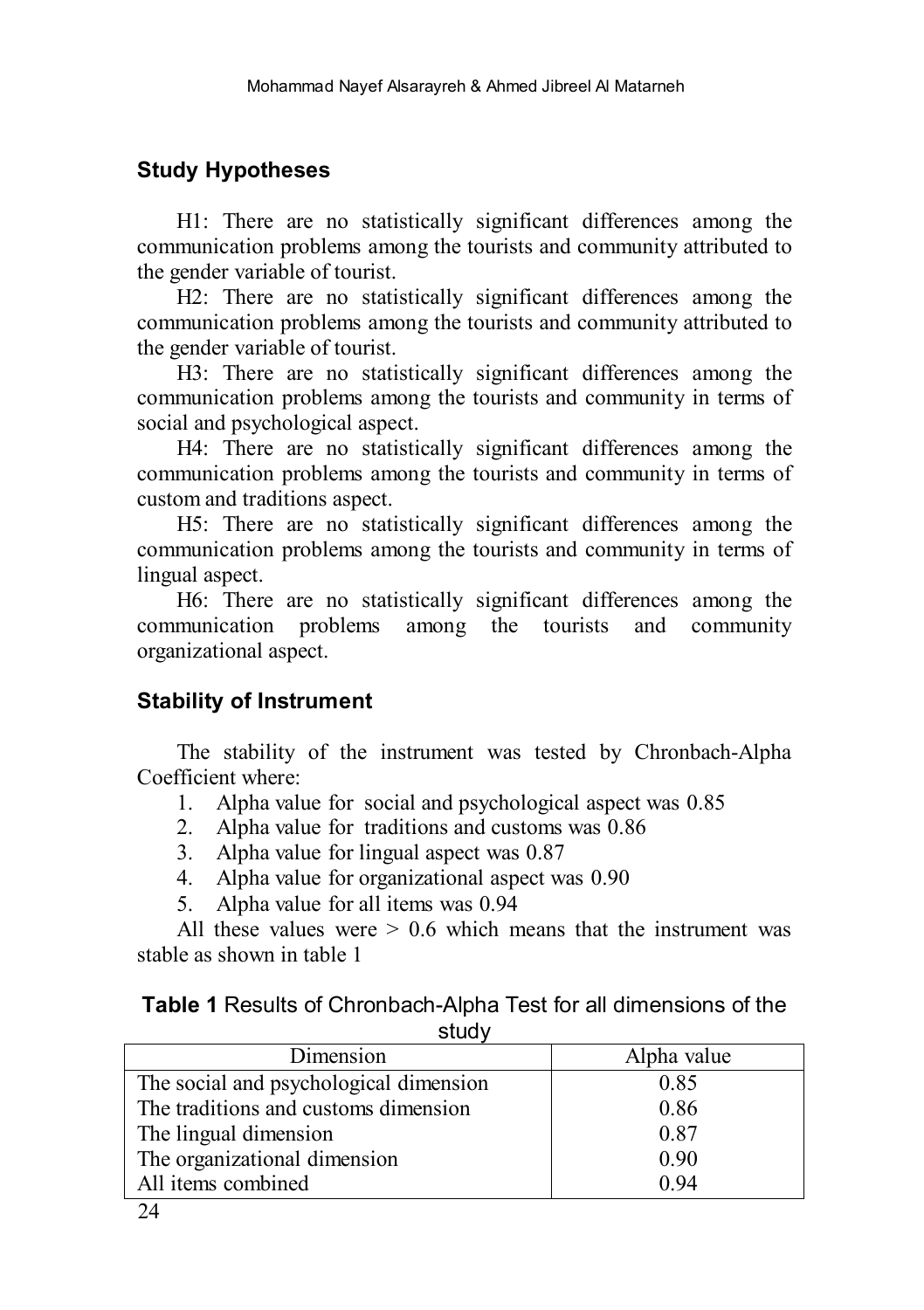# **Study Hypotheses**

H1: There are no statistically significant differences among the communication problems among the tourists and community attributed to the gender variable of tourist.

H2: There are no statistically significant differences among the communication problems among the tourists and community attributed to the gender variable of tourist.

H3: There are no statistically significant differences among the communication problems among the tourists and community in terms of social and psychological aspect.

H4: There are no statistically significant differences among the communication problems among the tourists and community in terms of custom and traditions aspect.

H5: There are no statistically significant differences among the communication problems among the tourists and community in terms of lingual aspect.

H6: There are no statistically significant differences among the communication problems among the tourists and community organizational aspect.

# **Stability of Instrument**

The stability of the instrument was tested by Chronbach-Alpha Coefficient where:

- 1. Alpha value for social and psychological aspect was 0.85
- 2. Alpha value for traditions and customs was 0.86
- 3. Alpha value for lingual aspect was 0.87
- 4. Alpha value for organizational aspect was 0.90
- 5. Alpha value for all items was 0.94

All these values were  $> 0.6$  which means that the instrument was stable as shown in table 1

#### **Table 1** Results of Chronbach-Alpha Test for all dimensions of the study

| Dimension                              | Alpha value |
|----------------------------------------|-------------|
| The social and psychological dimension | 0.85        |
| The traditions and customs dimension   | 0.86        |
| The lingual dimension                  | 0.87        |
| The organizational dimension           | 0.90        |
| All items combined                     | 0.94        |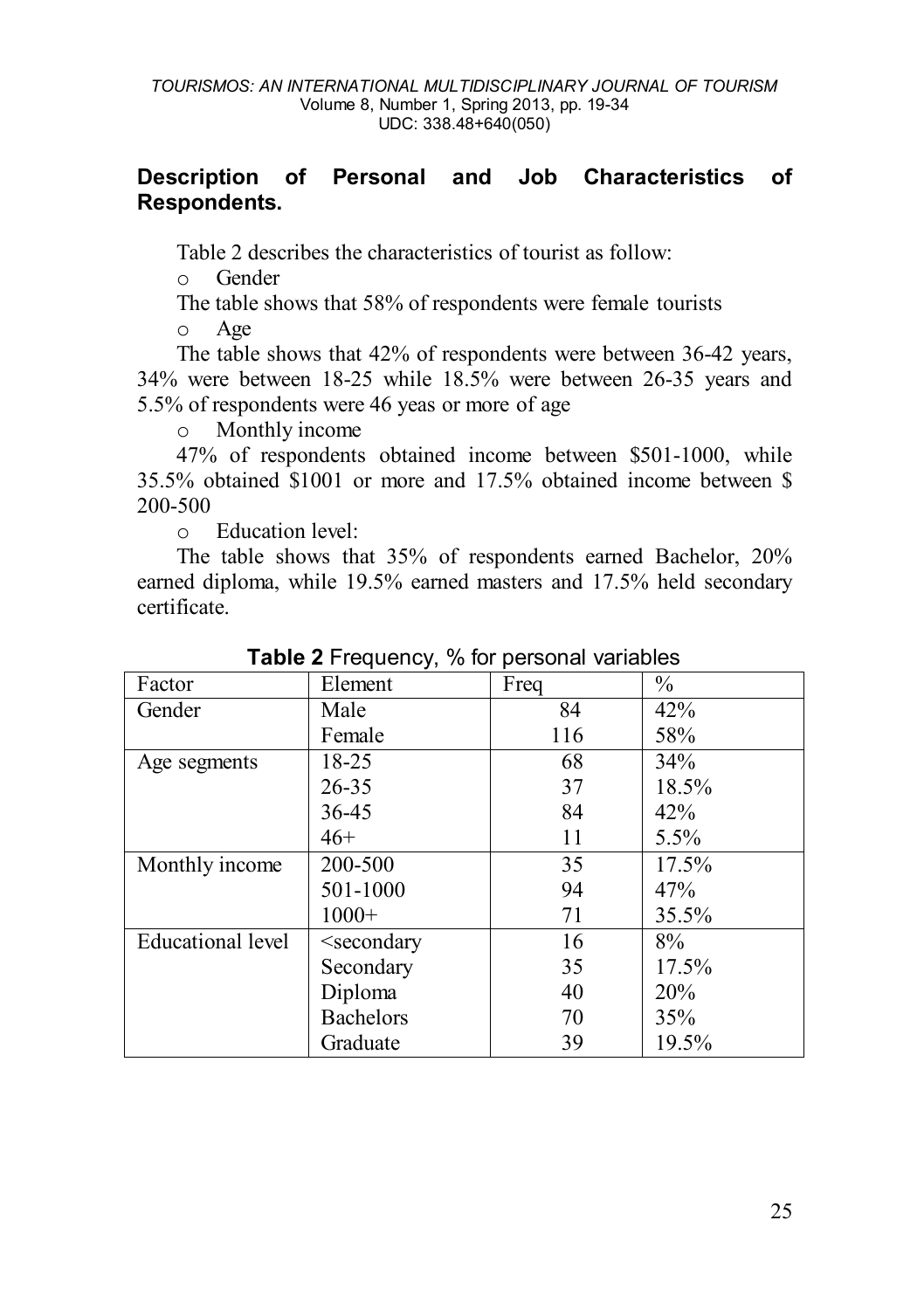## **Description of Personal and Job Characteristics of Respondents.**

Table 2 describes the characteristics of tourist as follow:

o Gender

The table shows that 58% of respondents were female tourists

o Age

The table shows that 42% of respondents were between 36-42 years, 34% were between 18-25 while 18.5% were between 26-35 years and 5.5% of respondents were 46 yeas or more of age

o Monthly income

47% of respondents obtained income between \$501-1000, while 35.5% obtained \$1001 or more and 17.5% obtained income between \$ 200-500

o Education level:

The table shows that 35% of respondents earned Bachelor, 20% earned diploma, while 19.5% earned masters and 17.5% held secondary certificate.

| Factor            | Element                                               | Freq | $\%$  |  |  |
|-------------------|-------------------------------------------------------|------|-------|--|--|
| Gender            | Male                                                  | 84   | 42%   |  |  |
|                   | Female                                                | 116  | 58%   |  |  |
| Age segments      | 18-25                                                 | 68   | 34%   |  |  |
|                   | 26-35                                                 | 37   | 18.5% |  |  |
|                   | 36-45                                                 | 84   | 42%   |  |  |
|                   | $46+$                                                 | 11   | 5.5%  |  |  |
| Monthly income    | 200-500                                               | 35   | 17.5% |  |  |
|                   | 501-1000                                              | 94   | 47%   |  |  |
|                   | $1000+$                                               | 71   | 35.5% |  |  |
| Educational level | <secondary< td=""><td>16</td><td>8%</td></secondary<> | 16   | 8%    |  |  |
|                   | Secondary                                             | 35   | 17.5% |  |  |
|                   | Diploma                                               | 40   | 20%   |  |  |
|                   | <b>Bachelors</b>                                      | 70   | 35%   |  |  |
|                   | Graduate                                              | 39   | 19.5% |  |  |

**Table 2** Frequency, % for personal variables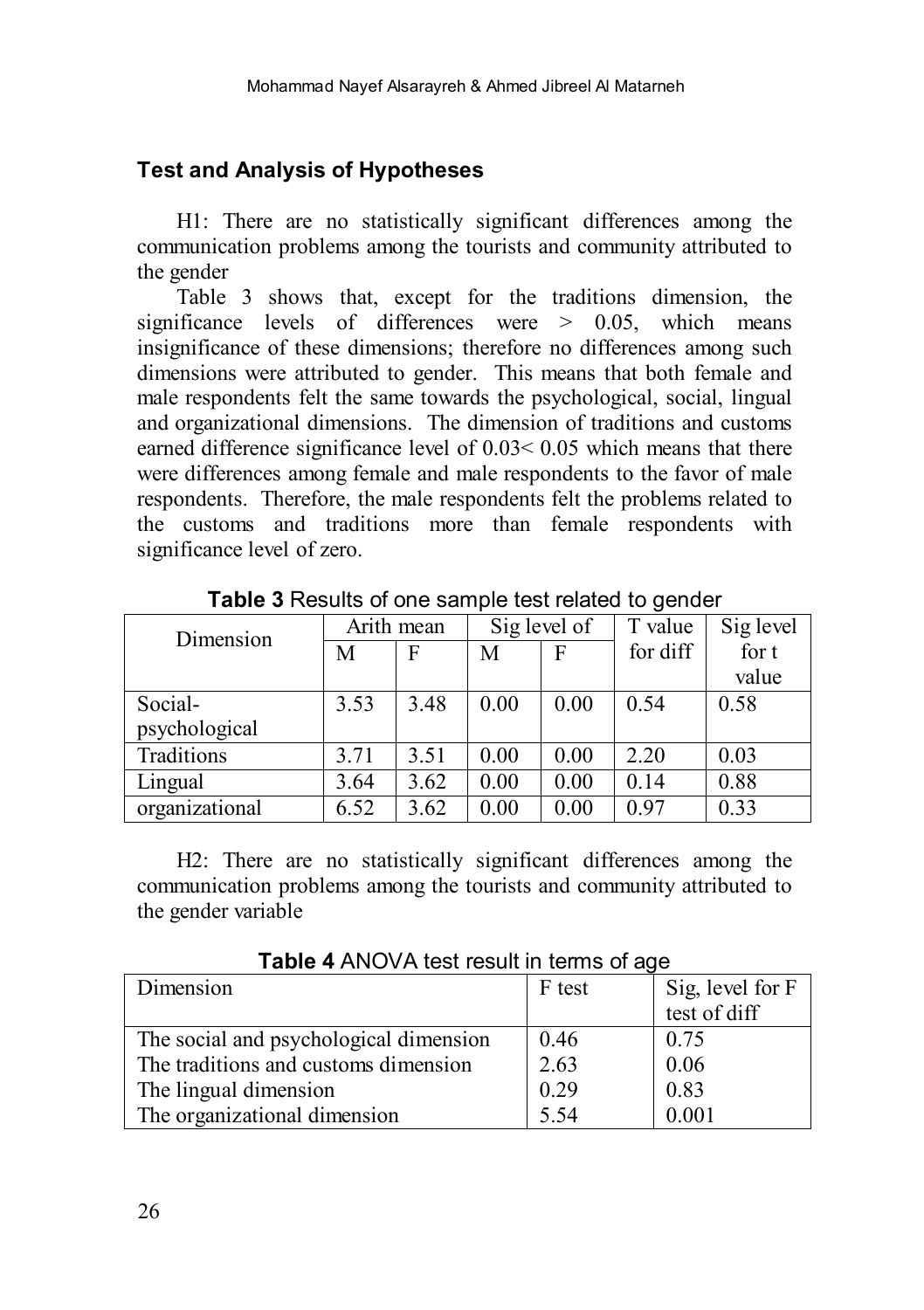## **Test and Analysis of Hypotheses**

H1: There are no statistically significant differences among the communication problems among the tourists and community attributed to the gender

Table 3 shows that, except for the traditions dimension, the significance levels of differences were > 0.05, which means insignificance of these dimensions; therefore no differences among such dimensions were attributed to gender. This means that both female and male respondents felt the same towards the psychological, social, lingual and organizational dimensions. The dimension of traditions and customs earned difference significance level of 0.03< 0.05 which means that there were differences among female and male respondents to the favor of male respondents. Therefore, the male respondents felt the problems related to the customs and traditions more than female respondents with significance level of zero.

| Dimension      | Arith mean |      | Sig level of |      | T value  | Sig level |
|----------------|------------|------|--------------|------|----------|-----------|
|                | М          | F    | М            | F    | for diff | for t     |
|                |            |      |              |      |          | value     |
| Social-        | 3.53       | 3.48 | 0.00         | 0.00 | 0.54     | 0.58      |
| psychological  |            |      |              |      |          |           |
| Traditions     | 3.71       | 3.51 | 0.00         | 0.00 | 2.20     | 0.03      |
| Lingual        | 3.64       | 3.62 | 0.00         | 0.00 | 0.14     | 0.88      |
| organizational | 6.52       | 3.62 | 0.00         | 0.00 | 0.97     | 0.33      |

**Table 3** Results of one sample test related to gender

H2: There are no statistically significant differences among the communication problems among the tourists and community attributed to the gender variable

Dimension F test Sig, level for F test of diff The social and psychological dimension The traditions and customs dimension The lingual dimension The organizational dimension 0.46 2.63 0.29 5.54 0.75 0.06 0.83 0.001

**Table 4** ANOVA test result in terms of age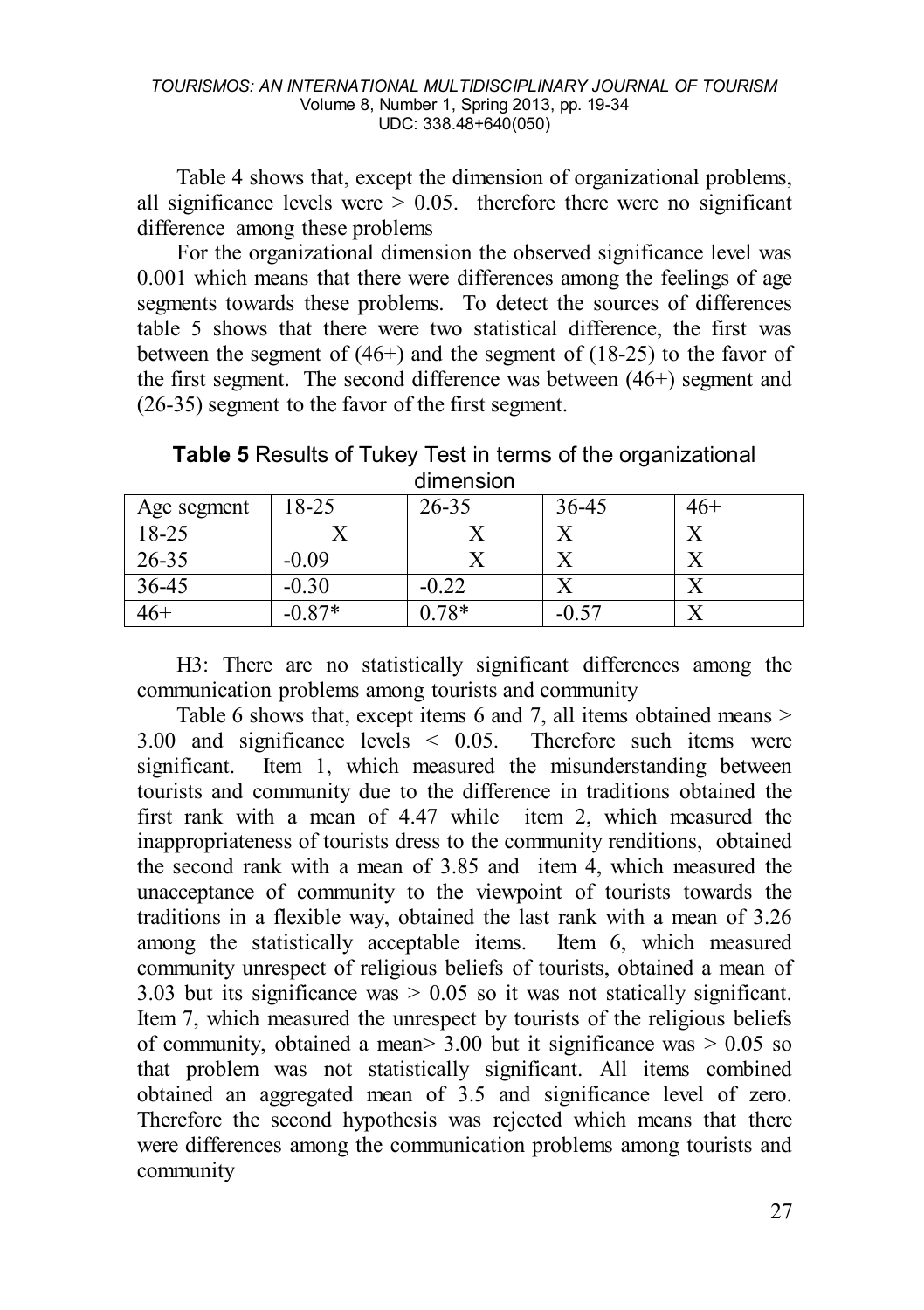Table 4 shows that, except the dimension of organizational problems, all significance levels were  $> 0.05$ . therefore there were no significant difference among these problems

For the organizational dimension the observed significance level was 0.001 which means that there were differences among the feelings of age segments towards these problems. To detect the sources of differences table 5 shows that there were two statistical difference, the first was between the segment of  $(46+)$  and the segment of  $(18-25)$  to the favor of the first segment. The second difference was between (46+) segment and (26-35) segment to the favor of the first segment.

**Table 5** Results of Tukey Test in terms of the organizational dimension

| Age segment | 18-25    | $26 - 35$ | 36-45   | 46+ |
|-------------|----------|-----------|---------|-----|
| 18-25       |          |           |         |     |
| $26 - 35$   | $-0.09$  |           |         |     |
| $36-45$     | $-0.30$  | $-0.22$   |         |     |
| 46+         | $-0.87*$ | $0.78*$   | $-0.57$ |     |

H3: There are no statistically significant differences among the communication problems among tourists and community

Table 6 shows that, except items 6 and 7, all items obtained means > 3.00 and significance levels < 0.05. Therefore such items were significant. Item 1, which measured the misunderstanding between tourists and community due to the difference in traditions obtained the first rank with a mean of 4.47 while item 2, which measured the inappropriateness of tourists dress to the community renditions, obtained the second rank with a mean of 3.85 and item 4, which measured the unacceptance of community to the viewpoint of tourists towards the traditions in a flexible way, obtained the last rank with a mean of 3.26 among the statistically acceptable items. Item 6, which measured community unrespect of religious beliefs of tourists, obtained a mean of 3.03 but its significance was  $> 0.05$  so it was not statically significant. Item 7, which measured the unrespect by tourists of the religious beliefs of community, obtained a mean  $> 3.00$  but it significance was  $> 0.05$  so that problem was not statistically significant. All items combined obtained an aggregated mean of 3.5 and significance level of zero. Therefore the second hypothesis was rejected which means that there were differences among the communication problems among tourists and community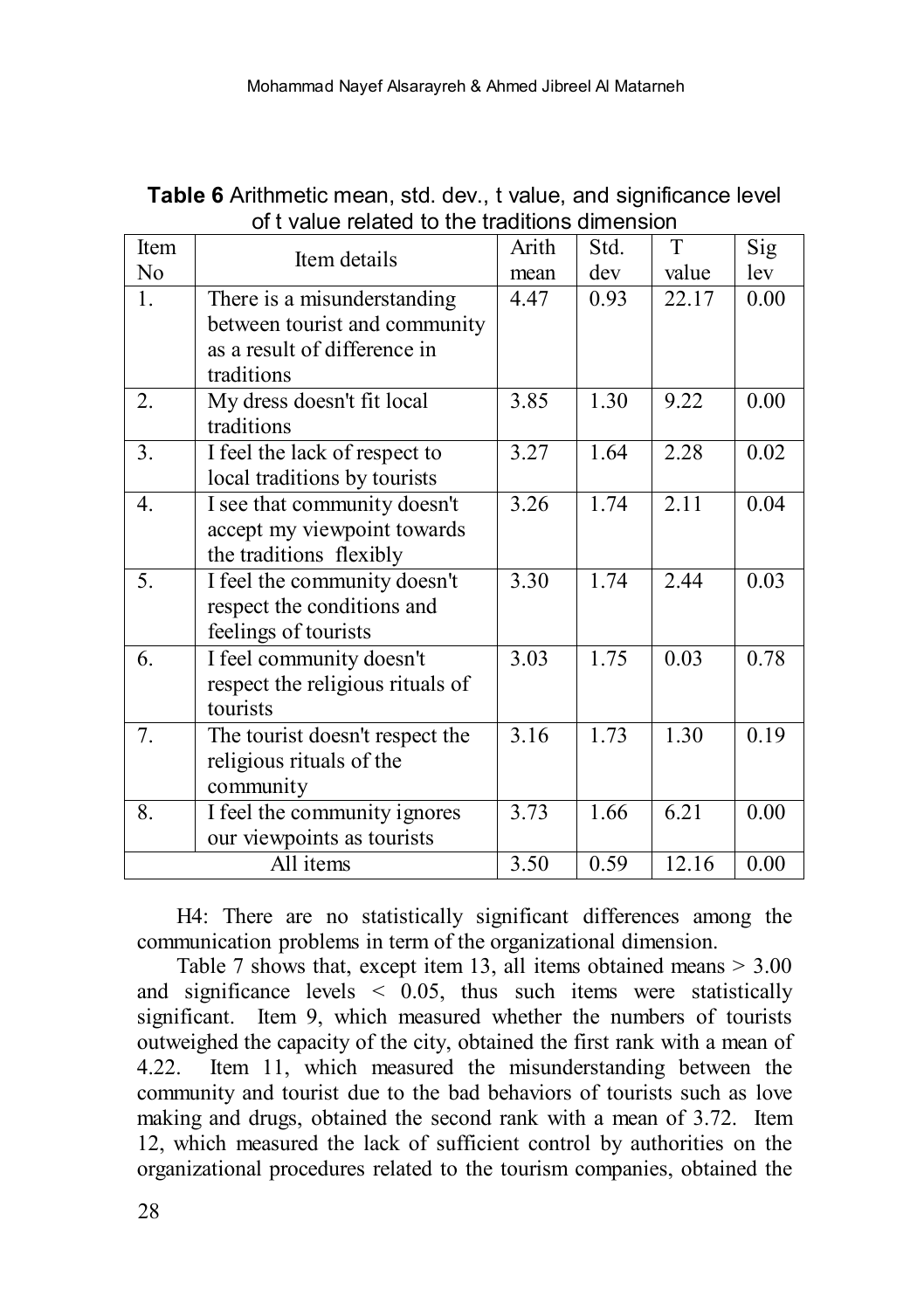| <b>Table 6</b> Arithmetic mean, std. dev., t value, and significance level |  |  |
|----------------------------------------------------------------------------|--|--|
| of t value related to the traditions dimension                             |  |  |

| Item           | Item details                                                                                 | Arith | Std. | T     | Sig  |
|----------------|----------------------------------------------------------------------------------------------|-------|------|-------|------|
| N <sub>0</sub> |                                                                                              | mean  | dev  | value | lev  |
| 1.             | There is a misunderstanding<br>between tourist and community<br>as a result of difference in | 4.47  | 0.93 | 22.17 | 0.00 |
|                | traditions                                                                                   |       |      |       |      |
| 2.             | My dress doesn't fit local<br>traditions                                                     | 3.85  | 1.30 | 9.22  | 0.00 |
| 3.             | I feel the lack of respect to<br>local traditions by tourists                                | 3.27  | 1.64 | 2.28  | 0.02 |
| 4.             | I see that community doesn't<br>accept my viewpoint towards<br>the traditions flexibly       | 3.26  | 1.74 | 2.11  | 0.04 |
| 5.             | I feel the community doesn't<br>respect the conditions and<br>feelings of tourists           | 3.30  | 1.74 | 2.44  | 0.03 |
| 6.             | I feel community doesn't<br>respect the religious rituals of<br>tourists                     | 3.03  | 1.75 | 0.03  | 0.78 |
| 7.             | The tourist doesn't respect the<br>religious rituals of the<br>community                     | 3.16  | 1.73 | 1.30  | 0.19 |
| 8.             | I feel the community ignores<br>our viewpoints as tourists                                   | 3.73  | 1.66 | 6.21  | 0.00 |
|                | All items                                                                                    | 3.50  | 0.59 | 12.16 | 0.00 |

H4: There are no statistically significant differences among the communication problems in term of the organizational dimension.

Table 7 shows that, except item 13, all items obtained means > 3.00 and significance levels  $\leq$  0.05, thus such items were statistically significant. Item 9, which measured whether the numbers of tourists outweighed the capacity of the city, obtained the first rank with a mean of 4.22. Item 11, which measured the misunderstanding between the community and tourist due to the bad behaviors of tourists such as love making and drugs, obtained the second rank with a mean of 3.72. Item 12, which measured the lack of sufficient control by authorities on the organizational procedures related to the tourism companies, obtained the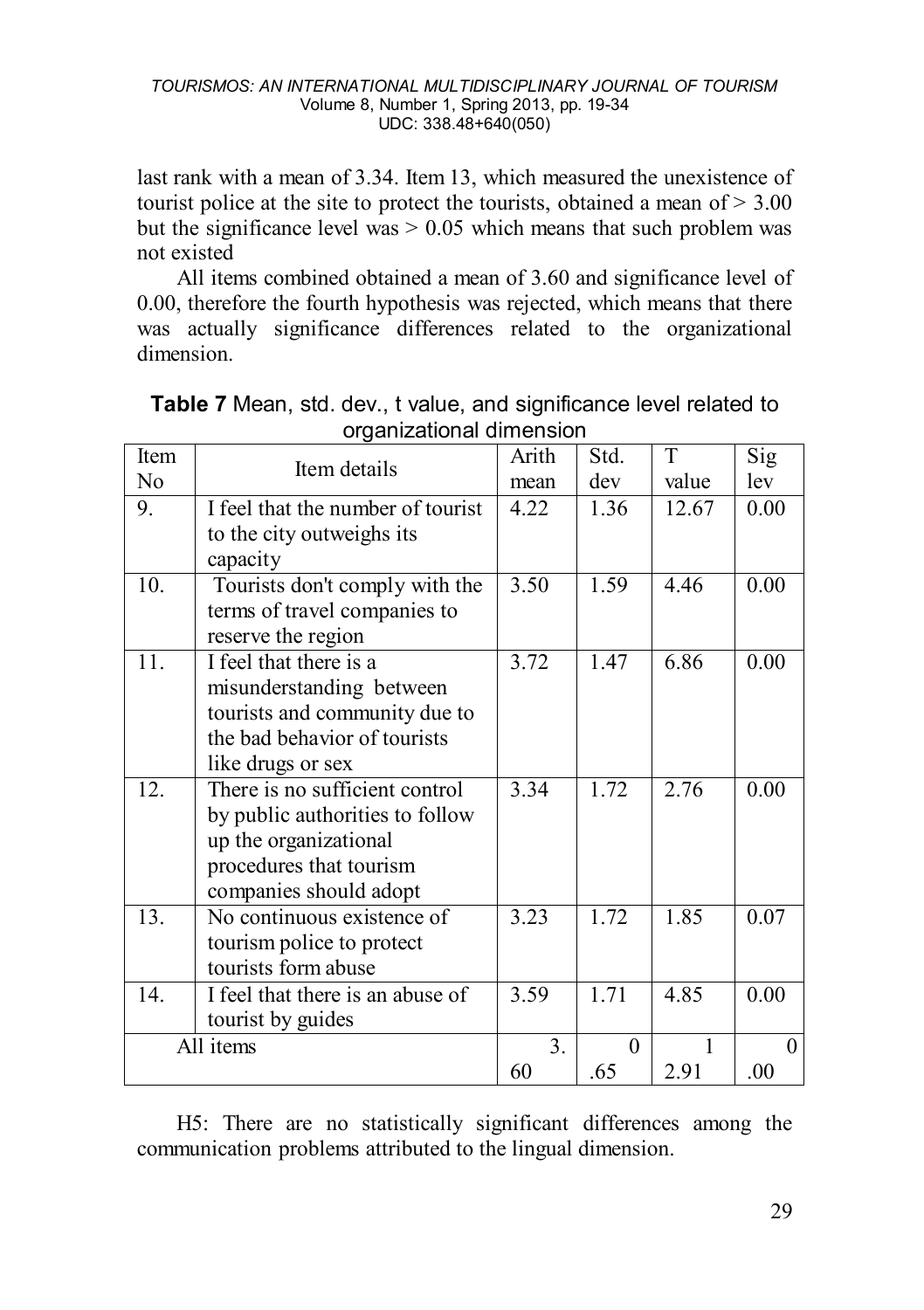last rank with a mean of 3.34. Item 13, which measured the unexistence of tourist police at the site to protect the tourists, obtained a mean of  $> 3.00$ but the significance level was  $> 0.05$  which means that such problem was not existed

All items combined obtained a mean of 3.60 and significance level of 0.00, therefore the fourth hypothesis was rejected, which means that there was actually significance differences related to the organizational dimension.

| Item           | Item details                                             | Arith          | Std.     | T     | Sig     |
|----------------|----------------------------------------------------------|----------------|----------|-------|---------|
| N <sub>0</sub> |                                                          | mean           | dev      | value | lev     |
| 9.             | I feel that the number of tourist                        | 4.22           | 1.36     | 12.67 | 0.00    |
|                | to the city outweighs its<br>capacity                    |                |          |       |         |
| 10.            | Tourists don't comply with the                           | 3.50           | 1.59     | 4.46  | 0.00    |
|                | terms of travel companies to                             |                |          |       |         |
|                | reserve the region                                       |                |          |       |         |
| 11.            | I feel that there is a                                   | 3.72           | 1.47     | 6.86  | 0.00    |
|                | misunderstanding between                                 |                |          |       |         |
|                | tourists and community due to                            |                |          |       |         |
|                | the bad behavior of tourists                             |                |          |       |         |
|                | like drugs or sex                                        |                |          |       |         |
| 12.            | There is no sufficient control                           | 3.34           | 1.72     | 2.76  | 0.00    |
|                | by public authorities to follow<br>up the organizational |                |          |       |         |
|                | procedures that tourism                                  |                |          |       |         |
|                | companies should adopt                                   |                |          |       |         |
| 13.            | No continuous existence of                               | 3.23           | 1.72     | 1.85  | 0.07    |
|                | tourism police to protect                                |                |          |       |         |
|                | tourists form abuse                                      |                |          |       |         |
| 14.            | I feel that there is an abuse of                         | 3.59           | 1.71     | 4.85  | 0.00    |
|                | tourist by guides                                        |                |          |       |         |
|                | All items                                                | 3 <sub>1</sub> | $\theta$ | 1     | 0       |
|                |                                                          | 60             | .65      | 2.91  | $.00\,$ |

**Table 7** Mean, std. dev., t value, and significance level related to organizational dimension

H5: There are no statistically significant differences among the communication problems attributed to the lingual dimension.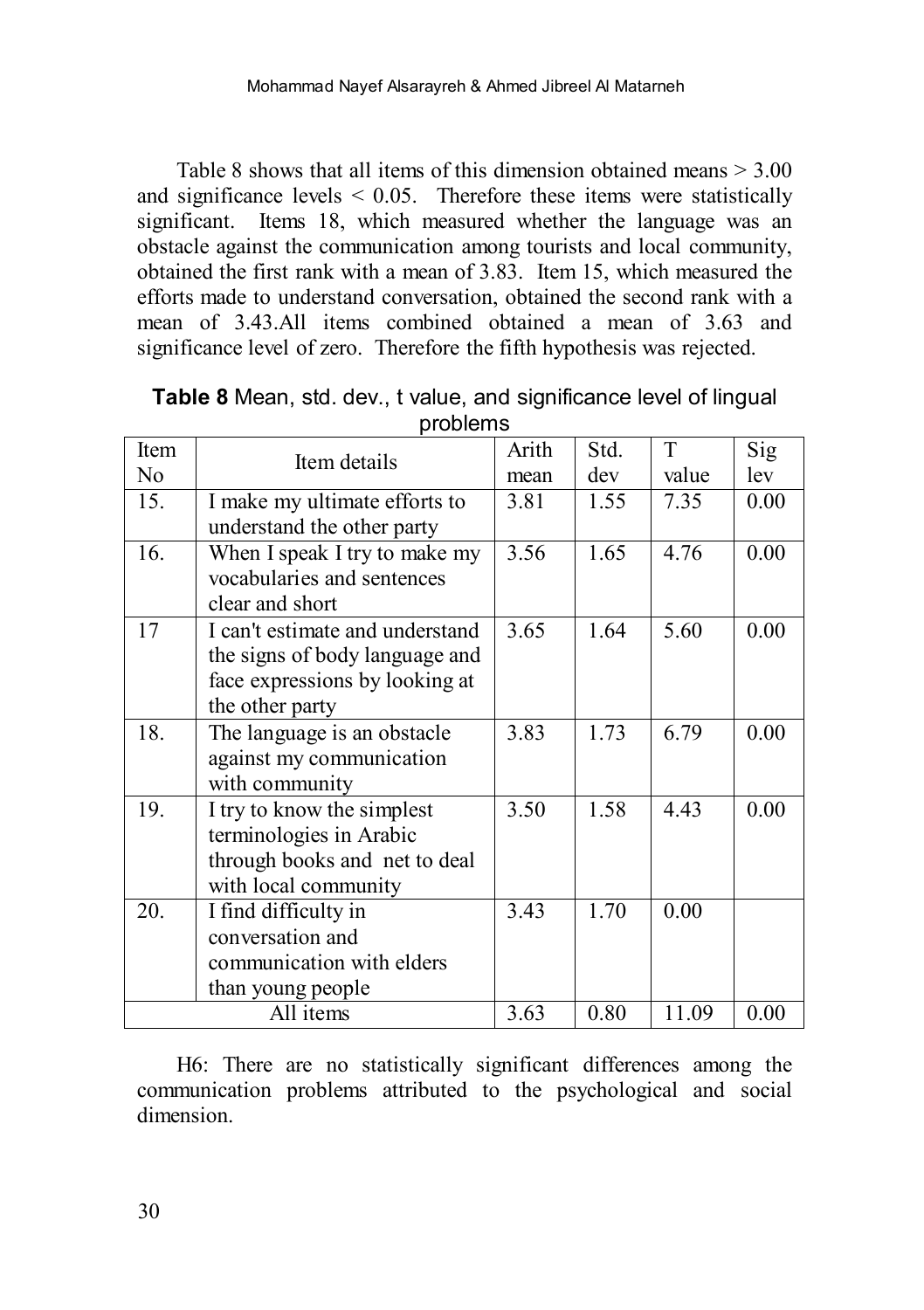Table 8 shows that all items of this dimension obtained means > 3.00 and significance levels  $\leq 0.05$ . Therefore these items were statistically significant. Items 18, which measured whether the language was an obstacle against the communication among tourists and local community, obtained the first rank with a mean of 3.83. Item 15, which measured the efforts made to understand conversation, obtained the second rank with a mean of 3.43.All items combined obtained a mean of 3.63 and significance level of zero. Therefore the fifth hypothesis was rejected.

| Item |                                 | Arith | Std. | T     | Sig  |
|------|---------------------------------|-------|------|-------|------|
| No   | Item details                    | mean  | dev  | value | lev  |
|      |                                 |       |      |       |      |
| 15.  | I make my ultimate efforts to   | 3.81  | 1.55 | 7.35  | 0.00 |
|      | understand the other party      |       |      |       |      |
| 16.  | When I speak I try to make my   | 3.56  | 1.65 | 4.76  | 0.00 |
|      | vocabularies and sentences      |       |      |       |      |
|      | clear and short                 |       |      |       |      |
| 17   | I can't estimate and understand | 3.65  | 1.64 | 5.60  | 0.00 |
|      | the signs of body language and  |       |      |       |      |
|      | face expressions by looking at  |       |      |       |      |
|      | the other party                 |       |      |       |      |
|      |                                 |       |      |       |      |
| 18.  | The language is an obstacle     | 3.83  | 1.73 | 6.79  | 0.00 |
|      | against my communication        |       |      |       |      |
|      | with community                  |       |      |       |      |
| 19.  | I try to know the simplest      | 3.50  | 1.58 | 4.43  | 0.00 |
|      | terminologies in Arabic         |       |      |       |      |
|      | through books and net to deal   |       |      |       |      |
|      | with local community            |       |      |       |      |
| 20.  | I find difficulty in            | 3.43  | 1.70 | 0.00  |      |
|      | conversation and                |       |      |       |      |
|      |                                 |       |      |       |      |
|      | communication with elders       |       |      |       |      |
|      | than young people               |       |      |       |      |
|      | All items                       | 3.63  | 0.80 | 11.09 | 0.00 |

**Table 8** Mean, std. dev., t value, and significance level of lingual problems

H6: There are no statistically significant differences among the communication problems attributed to the psychological and social dimension.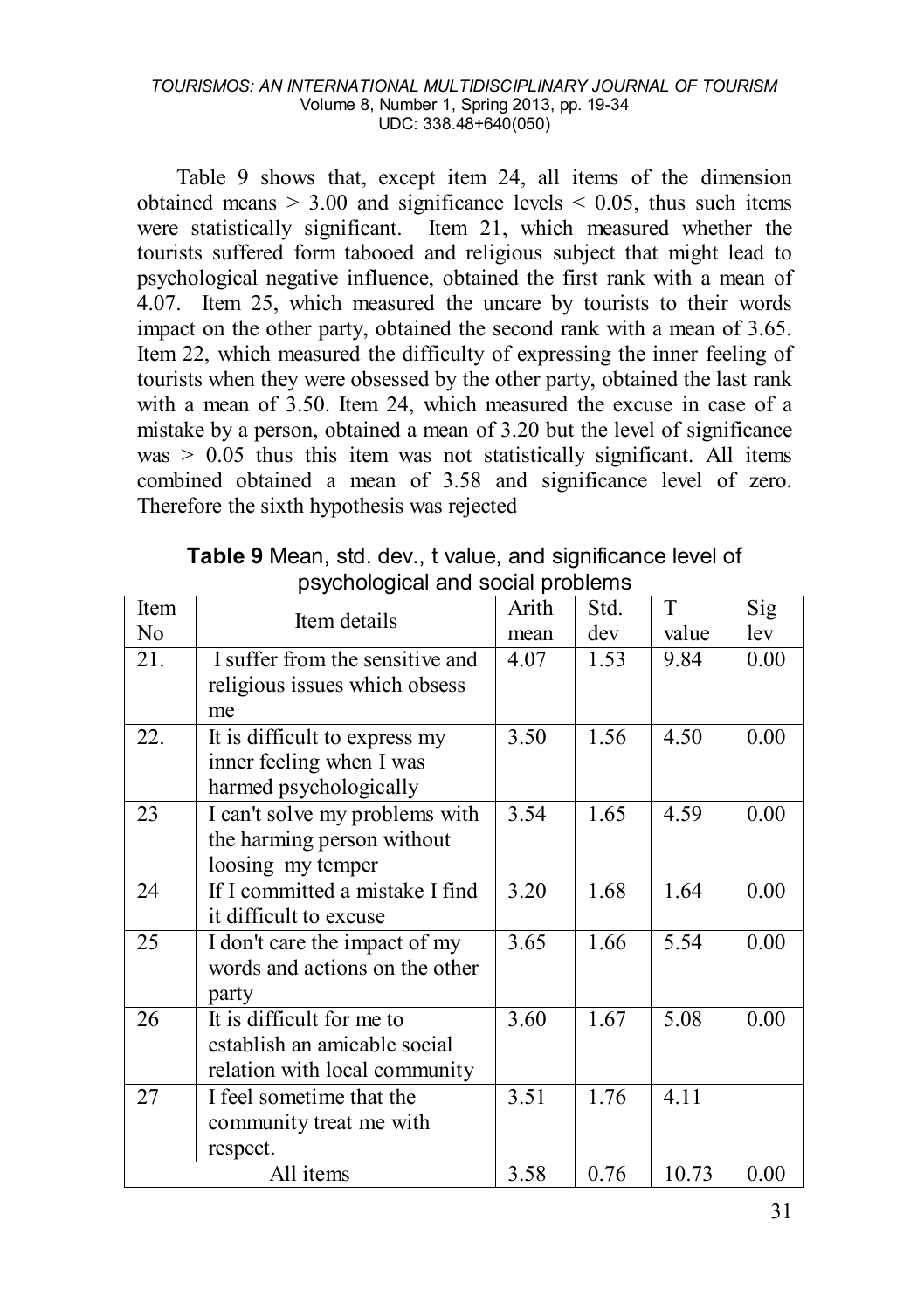#### *TOURISMOS: AN INTERNATIONAL MULTIDISCIPLINARY JOURNAL OF TOURISM* Volume 8, Number 1, Spring 2013, pp. 19-34 UDC: 338.48+640(050)

Table 9 shows that, except item 24, all items of the dimension obtained means  $> 3.00$  and significance levels  $< 0.05$ , thus such items were statistically significant. Item 21, which measured whether the tourists suffered form tabooed and religious subject that might lead to psychological negative influence, obtained the first rank with a mean of 4.07. Item 25, which measured the uncare by tourists to their words impact on the other party, obtained the second rank with a mean of 3.65. Item 22, which measured the difficulty of expressing the inner feeling of tourists when they were obsessed by the other party, obtained the last rank with a mean of 3.50. Item 24, which measured the excuse in case of a mistake by a person, obtained a mean of 3.20 but the level of significance was  $> 0.05$  thus this item was not statistically significant. All items combined obtained a mean of 3.58 and significance level of zero. Therefore the sixth hypothesis was rejected

| Item | Item details                    | Arith | Std. | T     | Sig  |
|------|---------------------------------|-------|------|-------|------|
| No   |                                 | mean  | dev  | value | lev  |
| 21.  | I suffer from the sensitive and | 4.07  | 1.53 | 9.84  | 0.00 |
|      | religious issues which obsess   |       |      |       |      |
|      | me                              |       |      |       |      |
| 22.  | It is difficult to express my   | 3.50  | 1.56 | 4.50  | 0.00 |
|      | inner feeling when I was        |       |      |       |      |
|      | harmed psychologically          |       |      |       |      |
| 23   | I can't solve my problems with  | 3.54  | 1.65 | 4.59  | 0.00 |
|      | the harming person without      |       |      |       |      |
|      | loosing my temper               |       |      |       |      |
| 24   | If I committed a mistake I find | 3.20  | 1.68 | 1.64  | 0.00 |
|      | it difficult to excuse          |       |      |       |      |
| 25   | I don't care the impact of my   | 3.65  | 1.66 | 5.54  | 0.00 |
|      | words and actions on the other  |       |      |       |      |
|      | party                           |       |      |       |      |
| 26   | It is difficult for me to       | 3.60  | 1.67 | 5.08  | 0.00 |
|      | establish an amicable social    |       |      |       |      |
|      | relation with local community   |       |      |       |      |
| 27   | I feel sometime that the        | 3.51  | 1.76 | 4.11  |      |
|      | community treat me with         |       |      |       |      |
|      | respect.                        |       |      |       |      |
|      | All items                       | 3.58  | 0.76 | 10.73 | 0.00 |

**Table 9** Mean, std. dev., t value, and significance level of psychological and social problems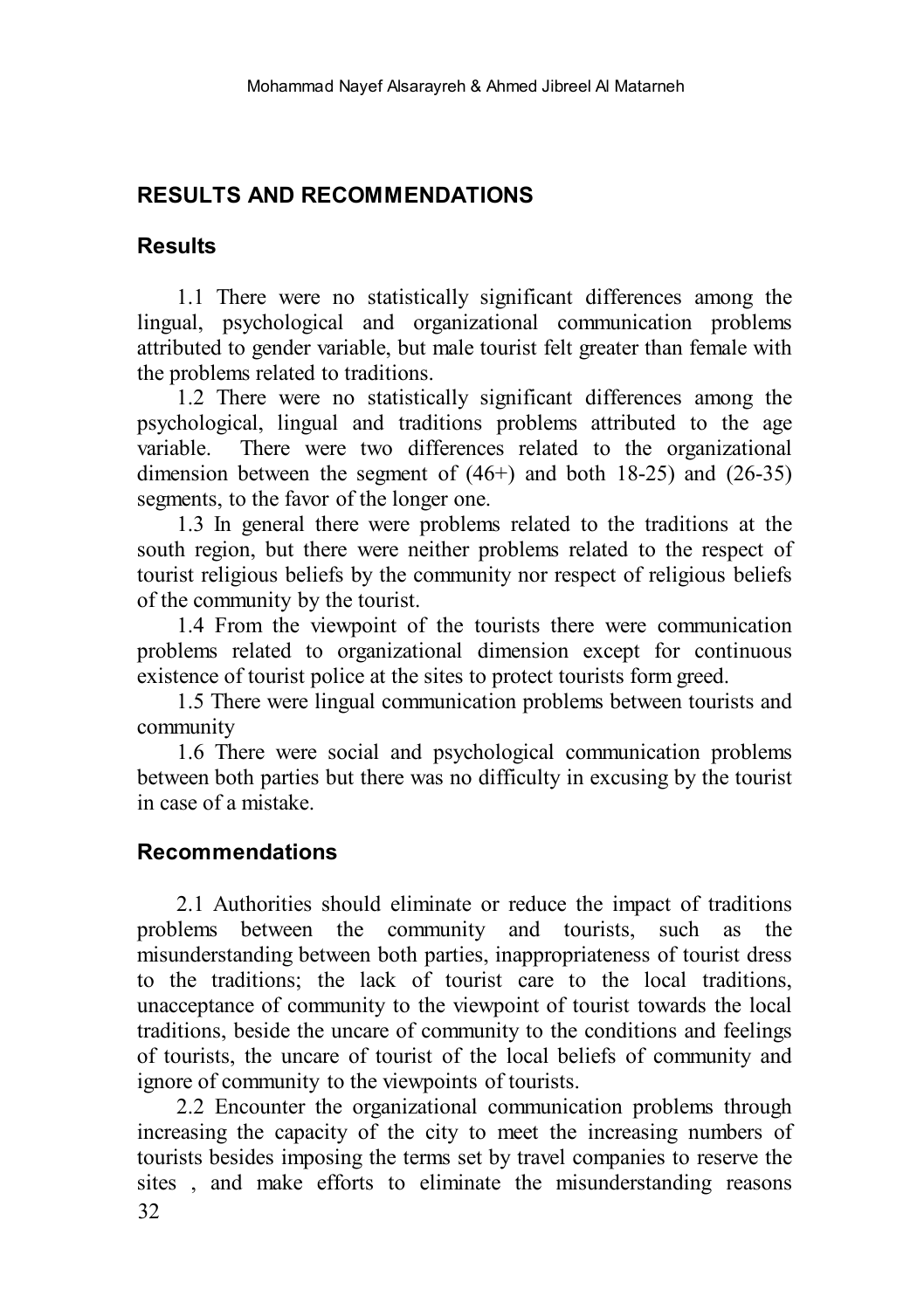## **RESULTS AND RECOMMENDATIONS**

## **Results**

1.1 There were no statistically significant differences among the lingual, psychological and organizational communication problems attributed to gender variable, but male tourist felt greater than female with the problems related to traditions.

1.2 There were no statistically significant differences among the psychological, lingual and traditions problems attributed to the age variable. There were two differences related to the organizational dimension between the segment of  $(46+)$  and both 18-25) and  $(26-35)$ segments, to the favor of the longer one.

1.3 In general there were problems related to the traditions at the south region, but there were neither problems related to the respect of tourist religious beliefs by the community nor respect of religious beliefs of the community by the tourist.

1.4 From the viewpoint of the tourists there were communication problems related to organizational dimension except for continuous existence of tourist police at the sites to protect tourists form greed.

1.5 There were lingual communication problems between tourists and community

1.6 There were social and psychological communication problems between both parties but there was no difficulty in excusing by the tourist in case of a mistake.

## **Recommendations**

2.1 Authorities should eliminate or reduce the impact of traditions problems between the community and tourists, such as the misunderstanding between both parties, inappropriateness of tourist dress to the traditions; the lack of tourist care to the local traditions, unacceptance of community to the viewpoint of tourist towards the local traditions, beside the uncare of community to the conditions and feelings of tourists, the uncare of tourist of the local beliefs of community and ignore of community to the viewpoints of tourists.

32 2.2 Encounter the organizational communication problems through increasing the capacity of the city to meet the increasing numbers of tourists besides imposing the terms set by travel companies to reserve the sites , and make efforts to eliminate the misunderstanding reasons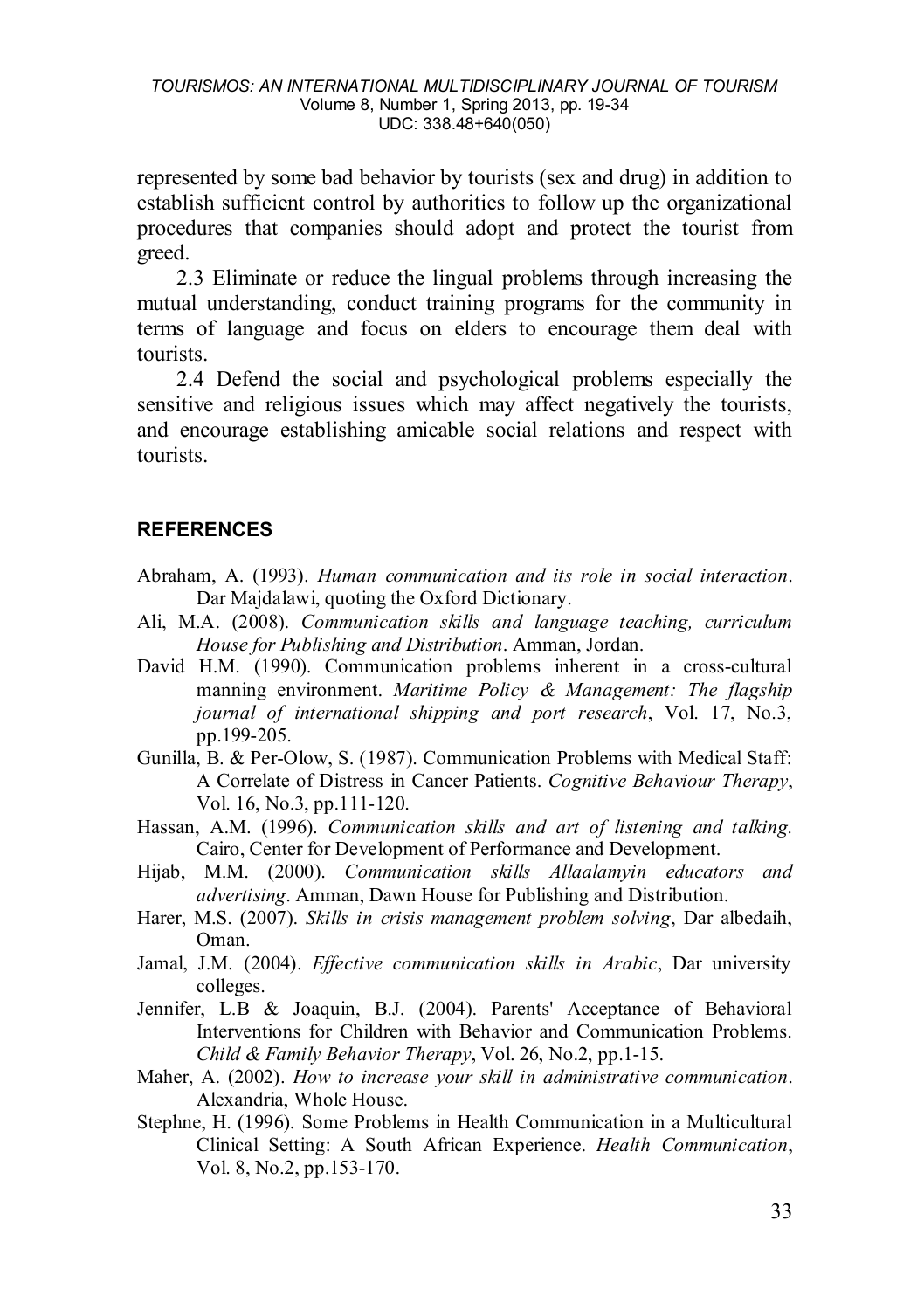represented by some bad behavior by tourists (sex and drug) in addition to establish sufficient control by authorities to follow up the organizational procedures that companies should adopt and protect the tourist from greed.

2.3 Eliminate or reduce the lingual problems through increasing the mutual understanding, conduct training programs for the community in terms of language and focus on elders to encourage them deal with tourists.

2.4 Defend the social and psychological problems especially the sensitive and religious issues which may affect negatively the tourists, and encourage establishing amicable social relations and respect with tourists.

### **REFERENCES**

- Abraham, A. (1993). *Human communication and its role in social interaction*. Dar Majdalawi, quoting the Oxford Dictionary.
- Ali, M.A. (2008). *Communication skills and language teaching, curriculum House for Publishing and Distribution*. Amman, Jordan.
- David H.M. (1990). Communication problems inherent in a cross-cultural manning environment. *Maritime Policy & Management: The flagship journal of international shipping and port research*, Vol. [17, No.](http://www.informaworld.com/smpp/title~db=all~content=t713694970~tab=issueslist~branches=17)3, pp.199-205.
- Gunilla, B. & Per-Olow, S. (1987). Communication Problems with Medical Staff: A Correlate of Distress in Cancer Patients. *Cognitive Behaviour Therapy*, Vol. [16, No.](http://www.informaworld.com/smpp/title~db=all~content=t713926011~tab=issueslist~branches=16)3, pp.111-120.
- Hassan, A.M. (1996). *Communication skills and art of listening and talking.*  Cairo, Center for Development of Performance and Development.
- Hijab, M.M. (2000). *Communication skills Allaalamyin educators and advertising*. Amman, Dawn House for Publishing and Distribution.
- Harer, M.S. (2007). *Skills in crisis management problem solving*, Dar albedaih, Oman.
- Jamal, J.M. (2004). *Effective communication skills in Arabic*, Dar university colleges.
- Jennifer, L.B & Joaquin, B.J. (2004). Parents' Acceptance of Behavioral Interventions for Children with Behavior and Communication Problems. *Child & Family Behavior Therapy, Vol. [26, No.](http://www.informaworld.com/smpp/title~db=all~content=t792303978~tab=issueslist~branches=26)2, pp.1-15.*
- Maher, A. (2002). *How to increase your skill in administrative communication*. Alexandria, Whole House.
- Stephne, H. (1996). Some Problems in Health Communication in a Multicultural Clinical Setting: A South African Experience. *Health Communication*, Vol. [8, No.](http://www.informaworld.com/smpp/title~db=all~content=t775653649~tab=issueslist~branches=8)[2,](http://www.informaworld.com/smpp/title~db=all~content=t775653649~tab=issueslist~branches=8) pp.153-170.